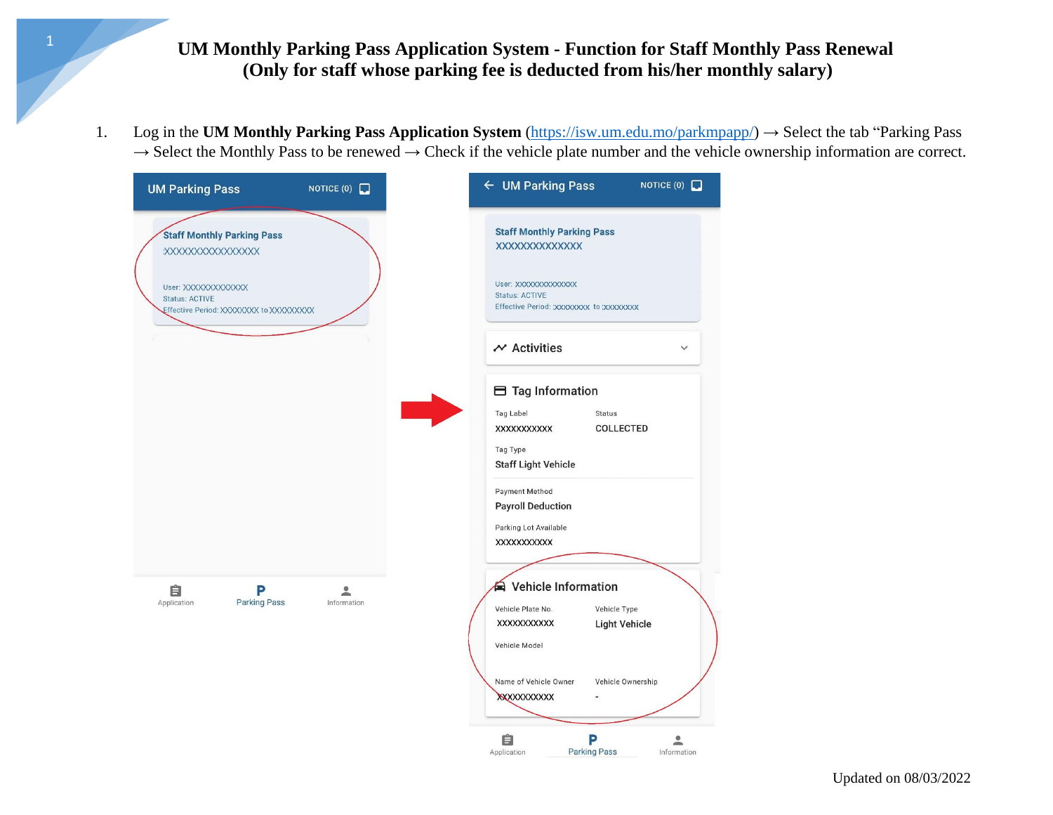1. Log in the **UM Monthly Parking Pass Application System** [\(https://isw.um.edu.mo/parkmpapp/\)](https://isw.um.edu.mo/parkmpapp/) → Select the tab "Parking Pass  $\rightarrow$  Select the Monthly Pass to be renewed  $\rightarrow$  Check if the vehicle plate number and the vehicle ownership information are correct.

| <b>UM Parking Pass</b>                                                                 | NOTICE (0) $\Box$ | ← UM Parking Pass                                                                       | NOTICE $(0)$         |
|----------------------------------------------------------------------------------------|-------------------|-----------------------------------------------------------------------------------------|----------------------|
| <b>Staff Monthly Parking Pass</b><br><b>XXXXXXXXXXXXXXXX</b>                           |                   | <b>Staff Monthly Parking Pass</b><br><b>XXXXXXXXXXXXXX</b>                              |                      |
| User: XXXXXXXXXXXX<br><b>Status: ACTIVE</b><br>Effective Period: XXXXXXXX to XXXXXXXXX |                   | User: XXXXXXXXXXXXXX<br><b>Status: ACTIVE</b><br>Effective Period: XXXXXXXX to XXXXXXXX |                      |
|                                                                                        |                   | $\sim$ Activities                                                                       | $\checkmark$         |
|                                                                                        |                   | <b>⊟</b> Tag Information                                                                |                      |
|                                                                                        |                   | Tag Label<br><b>Status</b>                                                              |                      |
|                                                                                        |                   | <b>COLLECTED</b><br><b>XXXXXXXXXXX</b>                                                  |                      |
|                                                                                        |                   | Tag Type                                                                                |                      |
|                                                                                        |                   | <b>Staff Light Vehicle</b>                                                              |                      |
|                                                                                        |                   | Payment Method                                                                          |                      |
|                                                                                        |                   | <b>Payroll Deduction</b>                                                                |                      |
|                                                                                        |                   | Parking Lot Available                                                                   |                      |
|                                                                                        |                   | XXXXXXXXXXX                                                                             |                      |
|                                                                                        |                   |                                                                                         |                      |
| Ė<br>P                                                                                 |                   | Vehicle Information                                                                     |                      |
| <b>Parking Pass</b><br>Application                                                     | Information       | Vehicle Plate No.<br>Vehicle Type                                                       |                      |
|                                                                                        |                   | XXXXXXXXXXX                                                                             | <b>Light Vehicle</b> |
|                                                                                        |                   | Vehicle Model                                                                           |                      |
|                                                                                        |                   |                                                                                         |                      |
|                                                                                        |                   | Name of Vehicle Owner                                                                   | Vehicle Ownership    |
|                                                                                        |                   | XXXXXXXXXXX                                                                             |                      |
|                                                                                        |                   |                                                                                         |                      |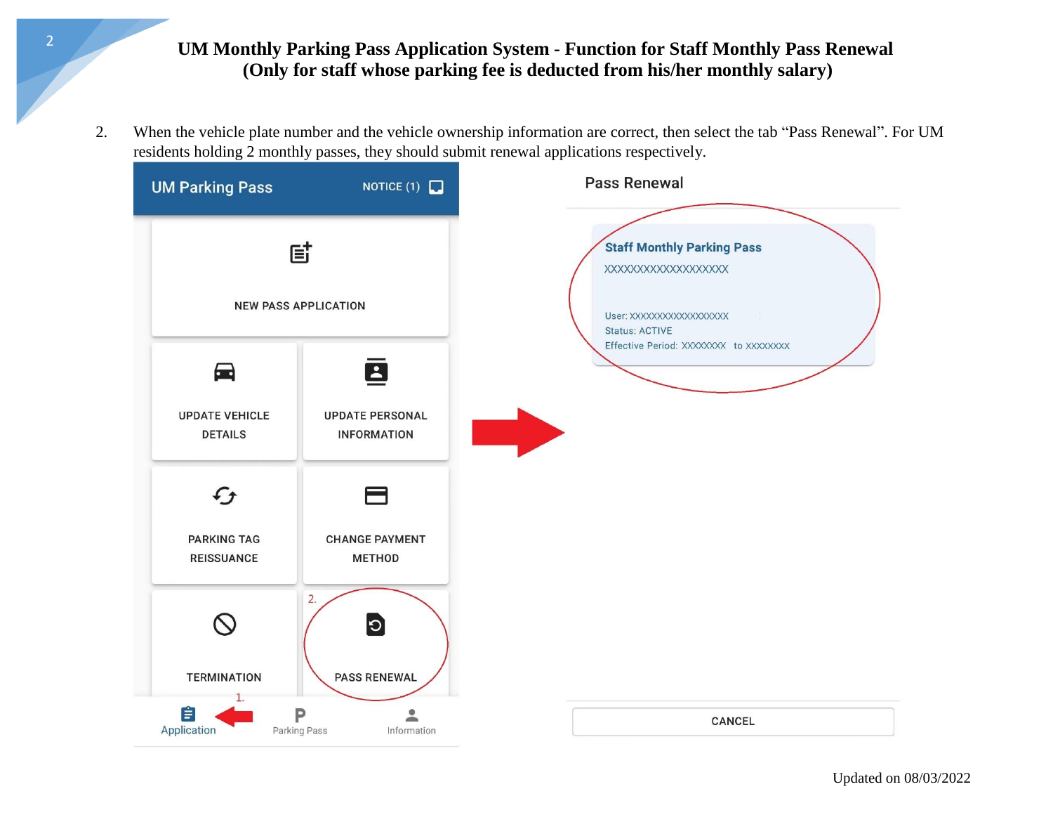2. When the vehicle plate number and the vehicle ownership information are correct, then select the tab "Pass Renewal". For UM residents holding 2 monthly passes, they should submit renewal applications respectively.



Updated on 08/03/2022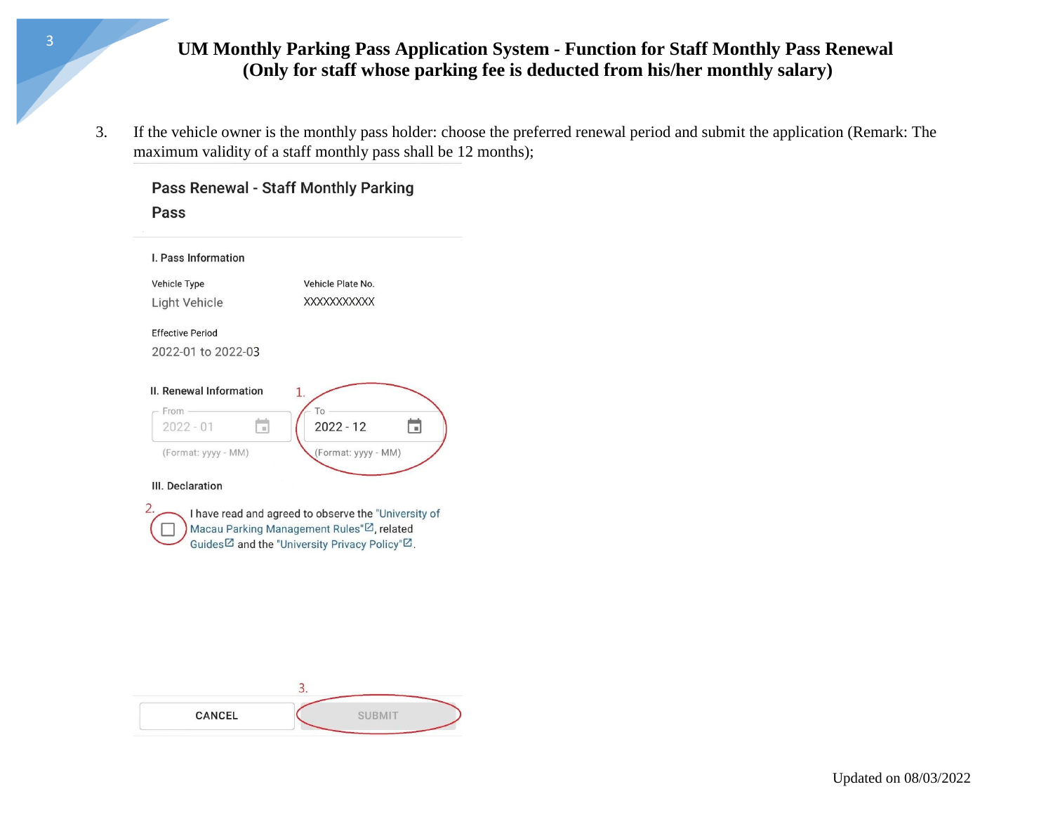3. If the vehicle owner is the monthly pass holder: choose the preferred renewal period and submit the application (Remark: The maximum validity of a staff monthly pass shall be 12 months);

**Pass Renewal - Staff Monthly Parking** 

Pass



I have read and agreed to observe the "University of Macau Parking Management Rules"<sup>[2]</sup>, related Guides<sup>[2]</sup> and the "University Privacy Policy"<sup>[2]</sup>.